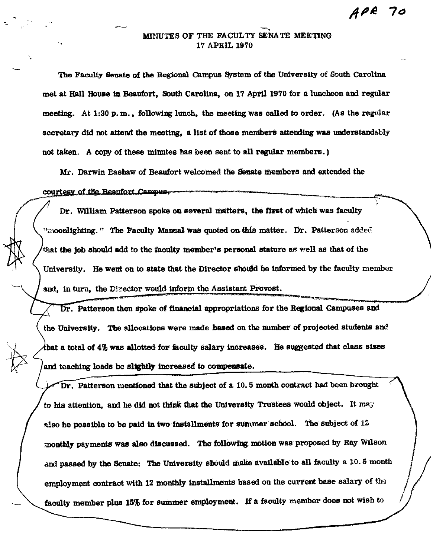## • MINUTES OF THE FACULTY SENATE MEETING 17 APRIL 1970

The Faculty Senate of the Regional Campus System of the University of South Carolina met at Hall House In Beaufort, South Carolina, on 17 Aprll 1970 for a luncheon and regular meeting. At 1:30 p.m., following lunch, the meeting was called to order. (As the regular secretary did not attend the meeting, a list of those members attending was understandably not taken. A copy of these minutes bas been sent to all regular members.)

Mr. Darwin Eashaw of Beaufort welcomed the Senate members and extended the

courtesy of the Beaufort Campus.

~

Dr. William Patterson spoke on several matters, the first of which was faculty "moonlighting." The Faculty Manual was quoted on this matter. Dr. Patterson added that the job should add to the faculty member's personal stature as well as that of the University. He went on to state that the Director should be informed by the faculty member and, in turn, the Director would inform the Assistant Provost.

. Patterson then spoke of financial appropriations for the Regional Campuses and the University. The allocations were made **baaed** on the number of projected students and that a total of  $4\%$  was allotted for faculty salary increases. He suggested that class sizes and teaching loads be slightly increased to compensate.

Dr. Patterson mentioned that the subject of a  $10.5$  month contract had been brought to his attention, and he did not think that the University Trustees would object. It may also be possible to be paid in two installments for summer school. The subject of  $12$ monthly payments was also discussed. The following motion was proposed by Ray Wilson and passed by the Senate: The University should make available to all faculty a 10. 5 month employment contract with 12 monthly installments based on the curtent base salary of the faculty member plus 15% for summer employment. If a faculty member does not wish to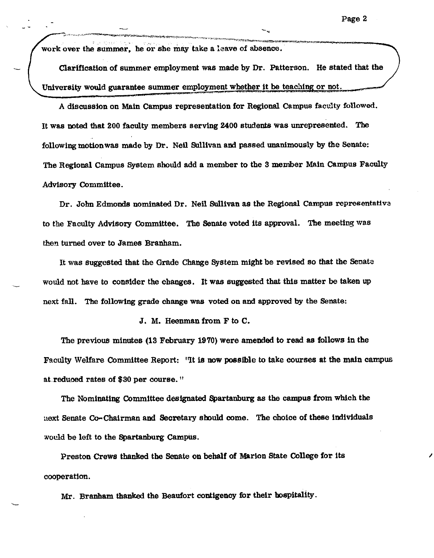work over the summer, he or she may take a leave of absence.

Clarification of summer employment was made by Dr. Patterson. He stated that the University would guarantee summer employment whether it be teaching or not.

A discussion on Main Campus representation for Regional Campus faculty followed. It was noted that 200 faculty members serving 2400 students was unrepresented. The following motion was made by Dr. Neil Sullivan and passed unanimously by the Senate: The Regional Campus System should add a member to the 3 member Main Campus Faculty Advisory Committee.

Dr. John Edmonds nominated Dr. Neil Sullivan as the Regional Campus representativa to the Faculty Advisory Committee. The Senate voted its approval. The meeting was then turned over to James Branham.

It was suggested that the Grade Change System might be revised so that the Senata would not have to consider the changes. It was suggested that this matter be taken up next fall. The following grade change was voted on and approved by the Senate:

J. M. Heenman from F to C.

The previous minutes (13 February 1970) were amended to read as follows in the Faculty Welfare Committee Report: 'It is now possible to take courses at the main campus at.reduood rates of \$30 per course."

The Nominating Committee designated Spartanburg as the campus from which the uext Senate Co-Chairman and Secretary should come. The choice of these individuals would be left to the Spartanburg Campus.

Preston Crews thanked the Senate on behalf of Marion State College for its cooperation.

Mr. Branham thanked the Beaufort contigency for their hospitality.